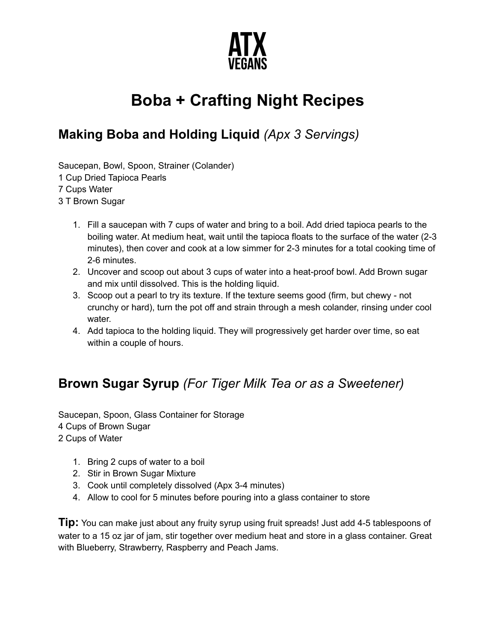

# **Boba + Crafting Night Recipes**

### **Making Boba and Holding Liquid** *(Apx 3 Servings)*

Saucepan, Bowl, Spoon, Strainer (Colander) Cup Dried Tapioca Pearls Cups Water T Brown Sugar

- 1. Fill a saucepan with 7 cups of water and bring to a boil. Add dried tapioca pearls to the boiling water. At medium heat, wait until the tapioca floats to the surface of the water (2-3 minutes), then cover and cook at a low simmer for 2-3 minutes for a total cooking time of 2-6 minutes.
- 2. Uncover and scoop out about 3 cups of water into a heat-proof bowl. Add Brown sugar and mix until dissolved. This is the holding liquid.
- 3. Scoop out a pearl to try its texture. If the texture seems good (firm, but chewy not crunchy or hard), turn the pot off and strain through a mesh colander, rinsing under cool water.
- 4. Add tapioca to the holding liquid. They will progressively get harder over time, so eat within a couple of hours.

### **Brown Sugar Syrup** *(For Tiger Milk Tea or as a Sweetener)*

Saucepan, Spoon, Glass Container for Storage 4 Cups of Brown Sugar 2 Cups of Water

- 1. Bring 2 cups of water to a boil
- 2. Stir in Brown Sugar Mixture
- 3. Cook until completely dissolved (Apx 3-4 minutes)
- 4. Allow to cool for 5 minutes before pouring into a glass container to store

**Tip:** You can make just about any fruity syrup using fruit spreads! Just add 4-5 tablespoons of water to a 15 oz jar of jam, stir together over medium heat and store in a glass container. Great with Blueberry, Strawberry, Raspberry and Peach Jams.